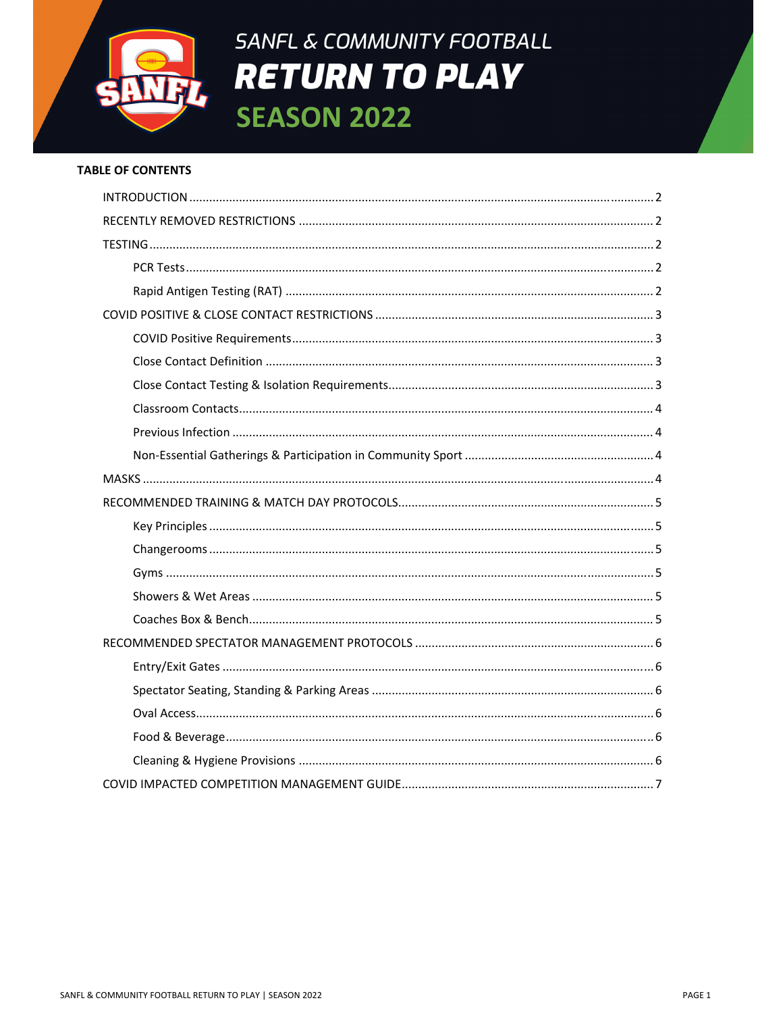

# **TABLE OF CONTENTS**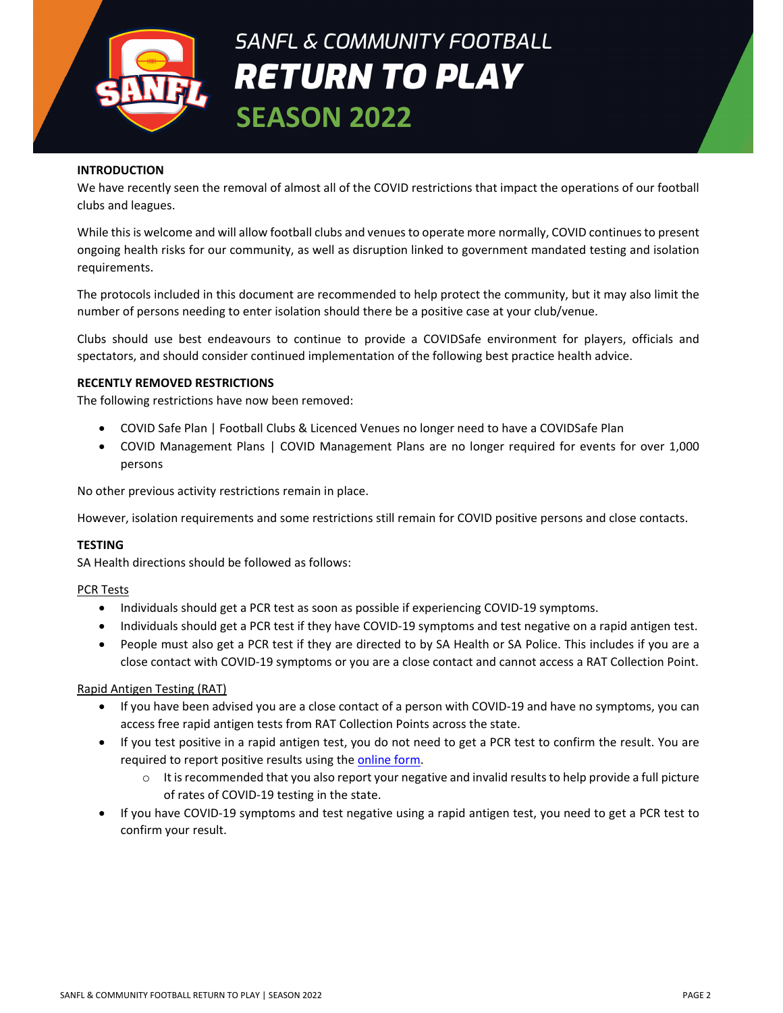

# **INTRODUCTION**

We have recently seen the removal of almost all of the COVID restrictions that impact the operations of our football clubs and leagues.

While this is welcome and will allow football clubs and venues to operate more normally, COVID continuesto present ongoing health risks for our community, as well as disruption linked to government mandated testing and isolation requirements.

The protocols included in this document are recommended to help protect the community, but it may also limit the number of persons needing to enter isolation should there be a positive case at your club/venue.

Clubs should use best endeavours to continue to provide a COVIDSafe environment for players, officials and spectators, and should consider continued implementation of the following best practice health advice.

# **RECENTLY REMOVED RESTRICTIONS**

The following restrictions have now been removed:

- COVID Safe Plan | Football Clubs & Licenced Venues no longer need to have a COVIDSafe Plan
- COVID Management Plans | COVID Management Plans are no longer required for events for over 1,000 persons

No other previous activity restrictions remain in place.

However, isolation requirements and some restrictions still remain for COVID positive persons and close contacts.

#### **TESTING**

SA Health directions should be followed as follows:

#### PCR Tests

- Individuals should get a PCR test as soon as possible if experiencing COVID-19 symptoms.
- Individuals should get a PCR test if they have COVID-19 symptoms and test negative on a rapid antigen test.
- People must also get a PCR test if they are directed to by SA Health or SA Police. This includes if you are a close contact with COVID‐19 symptoms or you are a close contact and cannot access a RAT Collection Point.

#### Rapid Antigen Testing (RAT)

- If you have been advised you are a close contact of a person with COVID-19 and have no symptoms, you can access free rapid antigen tests from RAT Collection Points across the state.
- If you test positive in a rapid antigen test, you do not need to get a PCR test to confirm the result. You are required to report positive results using the online form.
	- $\circ$  It is recommended that you also report your negative and invalid results to help provide a full picture of rates of COVID‐19 testing in the state.
- If you have COVID-19 symptoms and test negative using a rapid antigen test, you need to get a PCR test to confirm your result.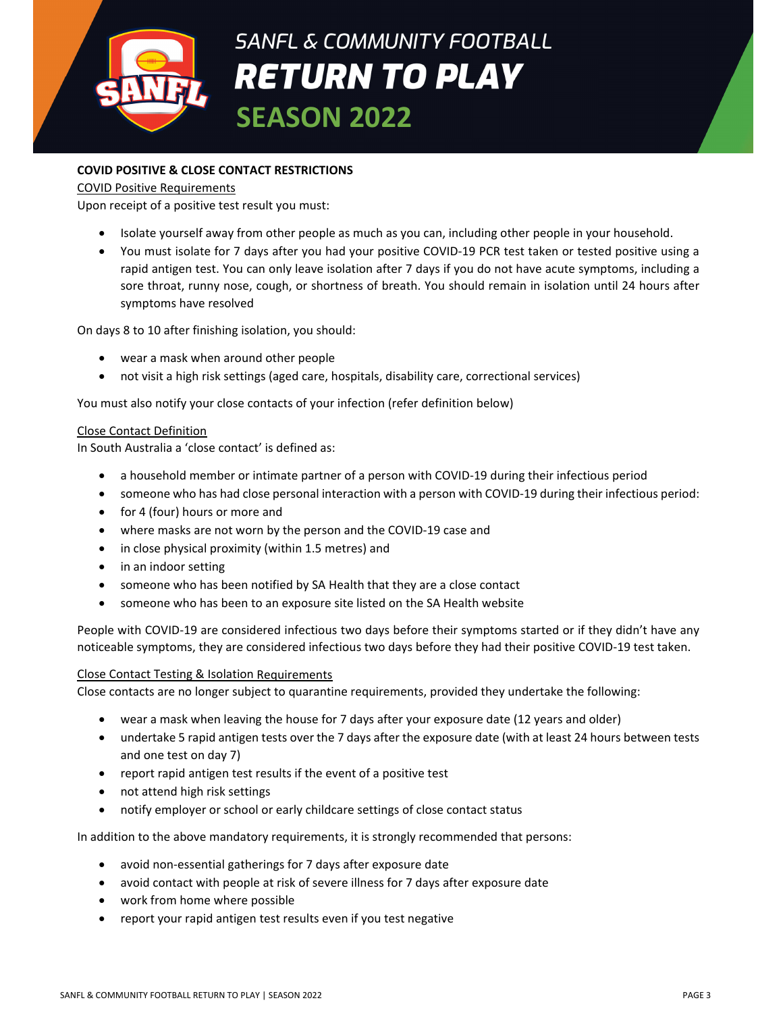

# **COVID POSITIVE & CLOSE CONTACT RESTRICTIONS**

#### COVID Positive Requirements

Upon receipt of a positive test result you must:

- Isolate yourself away from other people as much as you can, including other people in your household.
- You must isolate for 7 days after you had your positive COVID‐19 PCR test taken or tested positive using a rapid antigen test. You can only leave isolation after 7 days if you do not have acute symptoms, including a sore throat, runny nose, cough, or shortness of breath. You should remain in isolation until 24 hours after symptoms have resolved

On days 8 to 10 after finishing isolation, you should:

- wear a mask when around other people
- not visit a high risk settings (aged care, hospitals, disability care, correctional services)

You must also notify your close contacts of your infection (refer definition below)

#### Close Contact Definition

In South Australia a 'close contact' is defined as:

- a household member or intimate partner of a person with COVID‐19 during their infectious period
- someone who has had close personal interaction with a person with COVID-19 during their infectious period:
- for 4 (four) hours or more and
- where masks are not worn by the person and the COVID‐19 case and
- in close physical proximity (within 1.5 metres) and
- in an indoor setting
- someone who has been notified by SA Health that they are a close contact
- someone who has been to an exposure site listed on the SA Health website

People with COVID‐19 are considered infectious two days before their symptoms started or if they didn't have any noticeable symptoms, they are considered infectious two days before they had their positive COVID‐19 test taken.

#### Close Contact Testing & Isolation Requirements

Close contacts are no longer subject to quarantine requirements, provided they undertake the following:

- wear a mask when leaving the house for 7 days after your exposure date (12 years and older)
- undertake 5 rapid antigen tests over the 7 days after the exposure date (with at least 24 hours between tests and one test on day 7)
- report rapid antigen test results if the event of a positive test
- not attend high risk settings
- notify employer or school or early childcare settings of close contact status

In addition to the above mandatory requirements, it is strongly recommended that persons:

- avoid non-essential gatherings for 7 days after exposure date
- avoid contact with people at risk of severe illness for 7 days after exposure date
- work from home where possible
- report your rapid antigen test results even if you test negative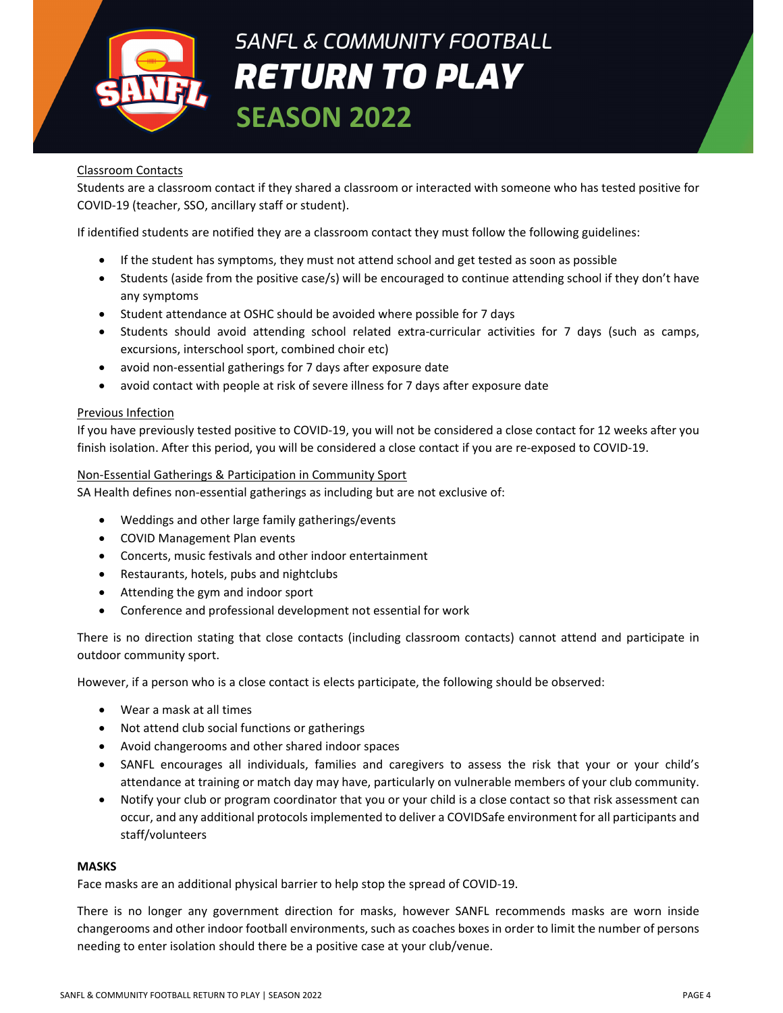# Classroom Contacts

Students are a classroom contact if they shared a classroom or interacted with someone who has tested positive for COVID‐19 (teacher, SSO, ancillary staff or student).

If identified students are notified they are a classroom contact they must follow the following guidelines:

- If the student has symptoms, they must not attend school and get tested as soon as possible
- Students (aside from the positive case/s) will be encouraged to continue attending school if they don't have any symptoms
- Student attendance at OSHC should be avoided where possible for 7 days
- Students should avoid attending school related extra-curricular activities for 7 days (such as camps, excursions, interschool sport, combined choir etc)
- avoid non-essential gatherings for 7 days after exposure date
- avoid contact with people at risk of severe illness for 7 days after exposure date

#### Previous Infection

If you have previously tested positive to COVID‐19, you will not be considered a close contact for 12 weeks after you finish isolation. After this period, you will be considered a close contact if you are re‐exposed to COVID‐19.

#### Non‐Essential Gatherings & Participation in Community Sport

SA Health defines non‐essential gatherings as including but are not exclusive of:

- Weddings and other large family gatherings/events
- COVID Management Plan events
- Concerts, music festivals and other indoor entertainment
- Restaurants, hotels, pubs and nightclubs
- Attending the gym and indoor sport
- Conference and professional development not essential for work

There is no direction stating that close contacts (including classroom contacts) cannot attend and participate in outdoor community sport.

However, if a person who is a close contact is elects participate, the following should be observed:

- Wear a mask at all times
- Not attend club social functions or gatherings
- Avoid changerooms and other shared indoor spaces
- SANFL encourages all individuals, families and caregivers to assess the risk that your or your child's attendance at training or match day may have, particularly on vulnerable members of your club community.
- Notify your club or program coordinator that you or your child is a close contact so that risk assessment can occur, and any additional protocolsimplemented to deliver a COVIDSafe environment for all participants and staff/volunteers

#### **MASKS**

Face masks are an additional physical barrier to help stop the spread of COVID‐19.

There is no longer any government direction for masks, however SANFL recommends masks are worn inside changerooms and other indoor football environments, such as coaches boxes in order to limit the number of persons needing to enter isolation should there be a positive case at your club/venue.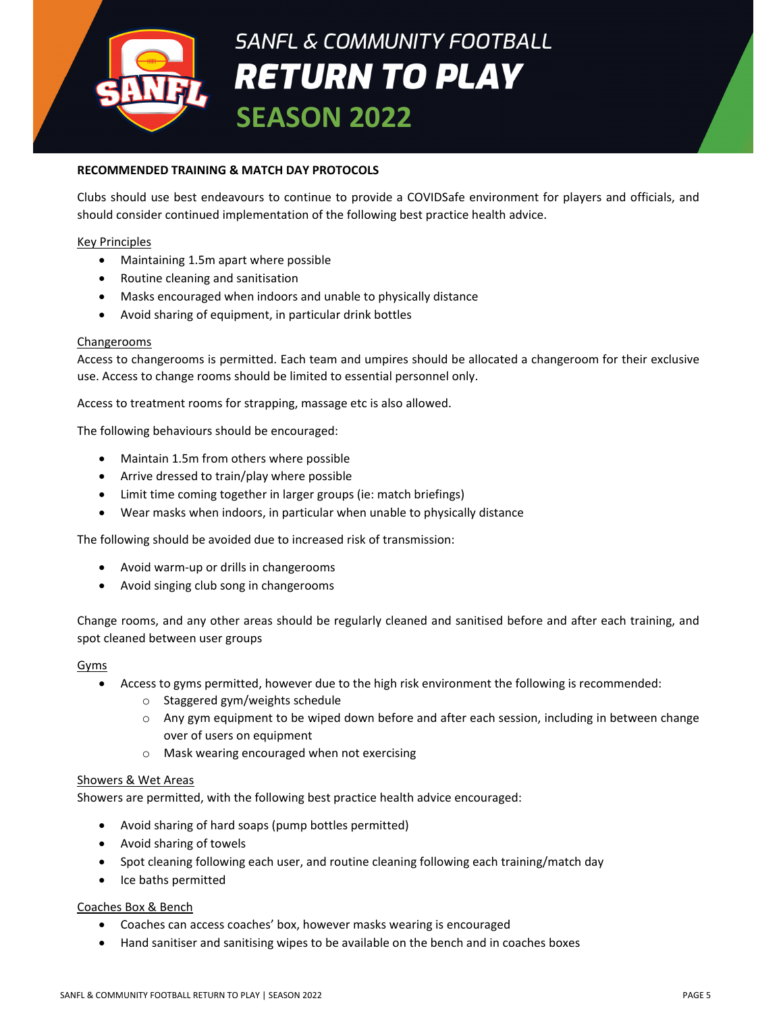### **RECOMMENDED TRAINING & MATCH DAY PROTOCOLS**

Clubs should use best endeavours to continue to provide a COVIDSafe environment for players and officials, and should consider continued implementation of the following best practice health advice.

#### Key Principles

- Maintaining 1.5m apart where possible
- Routine cleaning and sanitisation
- Masks encouraged when indoors and unable to physically distance
- Avoid sharing of equipment, in particular drink bottles

#### Changerooms

Access to changerooms is permitted. Each team and umpires should be allocated a changeroom for their exclusive use. Access to change rooms should be limited to essential personnel only.

Access to treatment rooms for strapping, massage etc is also allowed.

The following behaviours should be encouraged:

- Maintain 1.5m from others where possible
- Arrive dressed to train/play where possible
- Limit time coming together in larger groups (ie: match briefings)
- Wear masks when indoors, in particular when unable to physically distance

The following should be avoided due to increased risk of transmission:

- Avoid warm-up or drills in changerooms
- Avoid singing club song in changerooms

Change rooms, and any other areas should be regularly cleaned and sanitised before and after each training, and spot cleaned between user groups

#### Gyms

- Access to gyms permitted, however due to the high risk environment the following is recommended:
	- o Staggered gym/weights schedule
	- o Any gym equipment to be wiped down before and after each session, including in between change over of users on equipment
	- o Mask wearing encouraged when not exercising

#### Showers & Wet Areas

Showers are permitted, with the following best practice health advice encouraged:

- Avoid sharing of hard soaps (pump bottles permitted)
- Avoid sharing of towels
- Spot cleaning following each user, and routine cleaning following each training/match day
- Ice baths permitted

#### Coaches Box & Bench

- Coaches can access coaches' box, however masks wearing is encouraged
- Hand sanitiser and sanitising wipes to be available on the bench and in coaches boxes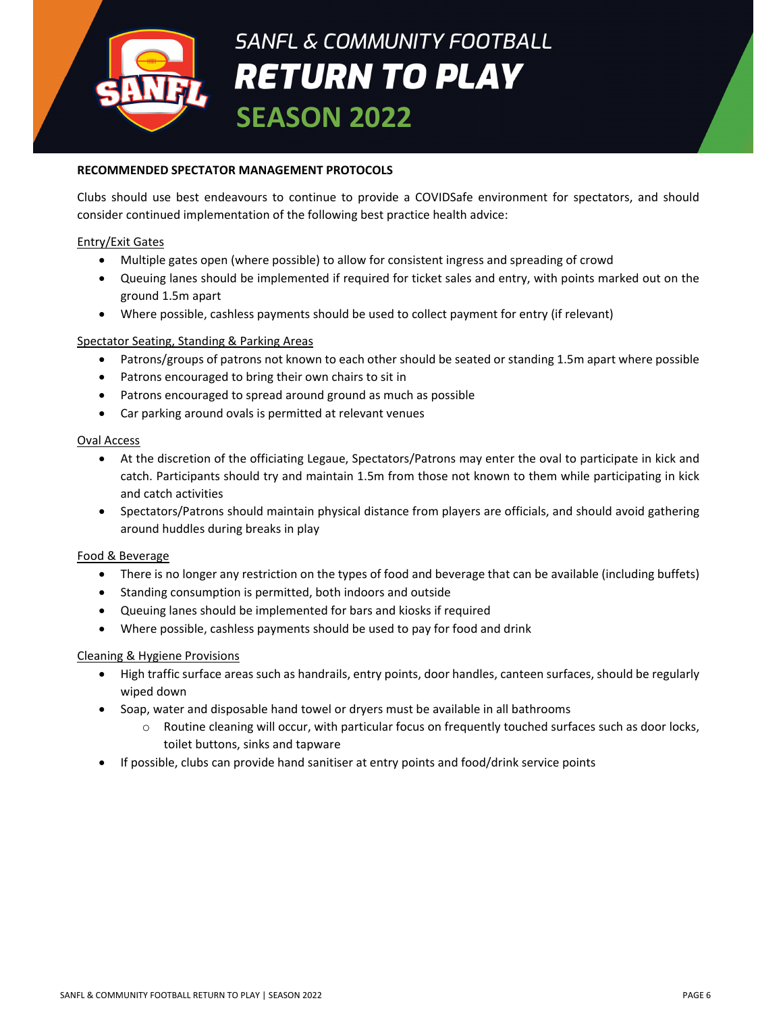# **RECOMMENDED SPECTATOR MANAGEMENT PROTOCOLS**

Clubs should use best endeavours to continue to provide a COVIDSafe environment for spectators, and should consider continued implementation of the following best practice health advice:

#### Entry/Exit Gates

- Multiple gates open (where possible) to allow for consistent ingress and spreading of crowd
- Queuing lanes should be implemented if required for ticket sales and entry, with points marked out on the ground 1.5m apart
- Where possible, cashless payments should be used to collect payment for entry (if relevant)

#### Spectator Seating, Standing & Parking Areas

- Patrons/groups of patrons not known to each other should be seated or standing 1.5m apart where possible
- Patrons encouraged to bring their own chairs to sit in
- Patrons encouraged to spread around ground as much as possible
- Car parking around ovals is permitted at relevant venues

#### Oval Access

- At the discretion of the officiating Legaue, Spectators/Patrons may enter the oval to participate in kick and catch. Participants should try and maintain 1.5m from those not known to them while participating in kick and catch activities
- Spectators/Patrons should maintain physical distance from players are officials, and should avoid gathering around huddles during breaks in play

#### Food & Beverage

- There is no longer any restriction on the types of food and beverage that can be available (including buffets)
- Standing consumption is permitted, both indoors and outside
- Queuing lanes should be implemented for bars and kiosks if required
- Where possible, cashless payments should be used to pay for food and drink

#### Cleaning & Hygiene Provisions

- High traffic surface areas such as handrails, entry points, door handles, canteen surfaces, should be regularly wiped down
- Soap, water and disposable hand towel or dryers must be available in all bathrooms
	- o Routine cleaning will occur, with particular focus on frequently touched surfaces such as door locks, toilet buttons, sinks and tapware
- If possible, clubs can provide hand sanitiser at entry points and food/drink service points